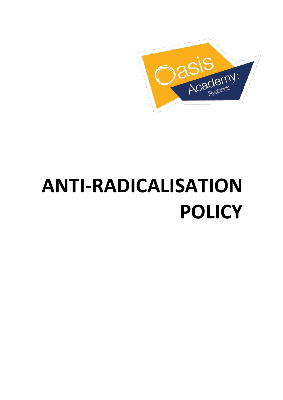

# **ANTI-RADICALISATION POLICY**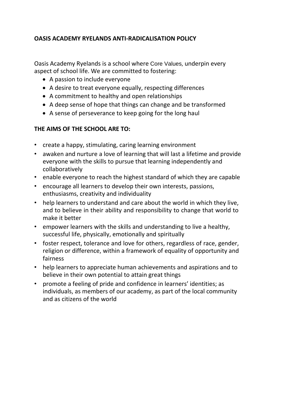#### **OASIS ACADEMY RYELANDS ANTI-RADICALISATION POLICY**

Oasis Academy Ryelands is a school where Core Values, underpin every aspect of school life. We are committed to fostering:

- A passion to include everyone
- A desire to treat everyone equally, respecting differences
- A commitment to healthy and open relationships
- A deep sense of hope that things can change and be transformed
- A sense of perseverance to keep going for the long haul

#### **THE AIMS OF THE SCHOOL ARE TO:**

- create a happy, stimulating, caring learning environment
- awaken and nurture a love of learning that will last a lifetime and provide everyone with the skills to pursue that learning independently and collaboratively
- enable everyone to reach the highest standard of which they are capable
- encourage all learners to develop their own interests, passions, enthusiasms, creativity and individuality
- help learners to understand and care about the world in which they live, and to believe in their ability and responsibility to change that world to make it better
- empower learners with the skills and understanding to live a healthy, successful life, physically, emotionally and spiritually
- foster respect, tolerance and love for others, regardless of race, gender, religion or difference, within a framework of equality of opportunity and fairness
- help learners to appreciate human achievements and aspirations and to believe in their own potential to attain great things
- promote a feeling of pride and confidence in learners' identities; as individuals, as members of our academy, as part of the local community and as citizens of the world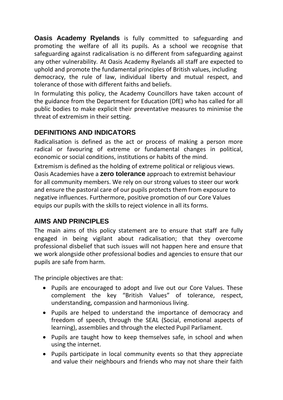**Oasis Academy Ryelands** is fully committed to safeguarding and promoting the welfare of all its pupils. As a school we recognise that safeguarding against radicalisation is no different from safeguarding against any other vulnerability*.* At Oasis Academy Ryelands all staff are expected to uphold and promote the fundamental principles of British values, including democracy, the rule of law, individual liberty and mutual respect, and tolerance of those with different faiths and beliefs.

In formulating this policy, the Academy Councillors have taken account of the guidance from the Department for Education (DfE) who has called for all public bodies to make explicit their preventative measures to minimise the threat of extremism in their setting.

# **DEFINITIONS AND INDICATORS**

Radicalisation is defined as the act or process of making a person more radical or favouring of extreme or fundamental changes in political, economic or social conditions, institutions or habits of the mind.

Extremism is defined as the holding of extreme political or religious views. Oasis Academies have a **zero tolerance** approach to extremist behaviour for all community members. We rely on our strong values to steer our work and ensure the pastoral care of our pupils protects them from exposure to negative influences. Furthermore, positive promotion of our Core Values equips our pupils with the skills to reject violence in all its forms.

# **AIMS AND PRINCIPLES**

The main aims of this policy statement are to ensure that staff are fully engaged in being vigilant about radicalisation; that they overcome professional disbelief that such issues will not happen here and ensure that we work alongside other professional bodies and agencies to ensure that our pupils are safe from harm.

The principle objectives are that:

- Pupils are encouraged to adopt and live out our Core Values. These complement the key "British Values" of tolerance, respect, understanding, compassion and harmonious living.
- Pupils are helped to understand the importance of democracy and freedom of speech, through the SEAL (Social, emotional aspects of learning), assemblies and through the elected Pupil Parliament.
- Pupils are taught how to keep themselves safe, in school and when using the internet.
- Pupils participate in local community events so that they appreciate and value their neighbours and friends who may not share their faith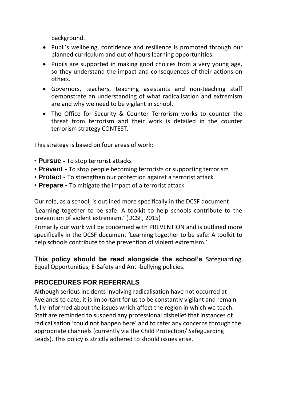background.

- Pupil's wellbeing, confidence and resilience is promoted through our planned curriculum and out of hours learning opportunities.
- Pupils are supported in making good choices from a very young age, so they understand the impact and consequences of their actions on others.
- Governors, teachers, teaching assistants and non‐teaching staff demonstrate an understanding of what radicalisation and extremism are and why we need to be vigilant in school.
- The Office for Security & Counter Terrorism works to counter the threat from terrorism and their work is detailed in the counter terrorism strategy CONTEST.

This strategy is based on four areas of work:

- **Pursue -** To stop terrorist attacks
- **Prevent -** To stop people becoming terrorists or supporting terrorism
- **Protect -** To strengthen our protection against a terrorist attack
- **Prepare -** To mitigate the impact of a terrorist attack

Our role, as a school, is outlined more specifically in the DCSF document 'Learning together to be safe: A toolkit to help schools contribute to the prevention of violent extremism.' (DCSF, 2015)

Primarily our work will be concerned with PREVENTION and is outlined more specifically in the DCSF document 'Learning together to be safe: A toolkit to help schools contribute to the prevention of violent extremism.'

**This policy should be read alongside the school's** Safeguarding, Equal Opportunities, E‐Safety and Anti‐bullying policies.

#### **PROCEDURES FOR REFERRALS**

Although serious incidents involving radicalisation have not occurred at Ryelands to date, it is important for us to be constantly vigilant and remain fully informed about the issues which affect the region in which we teach. Staff are reminded to suspend any professional disbelief that instances of radicalisation 'could not happen here' and to refer any concerns through the appropriate channels (currently via the Child Protection/ Safeguarding Leads). This policy is strictly adhered to should issues arise.